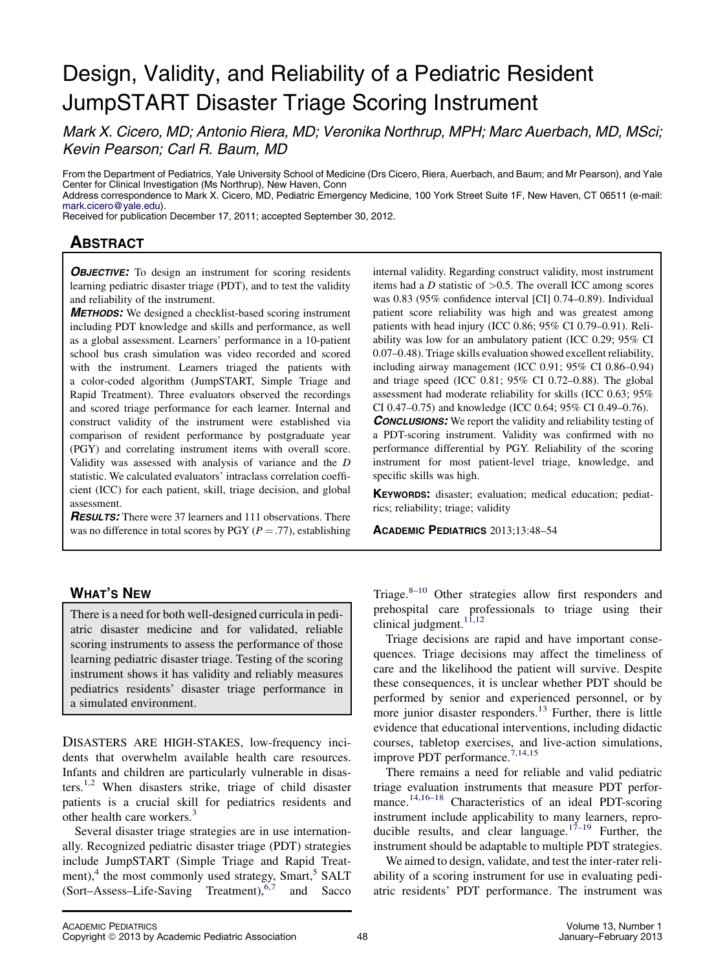# Design, Validity, and Reliability of a Pediatric Resident JumpSTART Disaster Triage Scoring Instrument

Mark X. Cicero, MD; Antonio Riera, MD; Veronika Northrup, MPH; Marc Auerbach, MD, MSci; Kevin Pearson; Carl R. Baum, MD

From the Department of Pediatrics, Yale University School of Medicine (Drs Cicero, Riera, Auerbach, and Baum; and Mr Pearson), and Yale Center for Clinical Investigation (Ms Northrup), New Haven, Conn

Address correspondence to Mark X. Cicero, MD, Pediatric Emergency Medicine, 100 York Street Suite 1F, New Haven, CT 06511 (e-mail: [mark.cicero@yale.edu](mailto:mark.cicero@yale.edu)).

Received for publication December 17, 2011; accepted September 30, 2012.

## **ABSTRACT** <u>ABSOLUTE A BO</u>

**OBJECTIVE:** To design an instrument for scoring residents learning pediatric disaster triage (PDT), and to test the validity and reliability of the instrument.

**METHODS:** We designed a checklist-based scoring instrument including PDT knowledge and skills and performance, as well as a global assessment. Learners' performance in a 10-patient school bus crash simulation was video recorded and scored with the instrument. Learners triaged the patients with a color-coded algorithm (JumpSTART, Simple Triage and Rapid Treatment). Three evaluators observed the recordings and scored triage performance for each learner. Internal and construct validity of the instrument were established via comparison of resident performance by postgraduate year (PGY) and correlating instrument items with overall score. Validity was assessed with analysis of variance and the D statistic. We calculated evaluators' intraclass correlation coefficient (ICC) for each patient, skill, triage decision, and global assessment.

**RESULTS:** There were 37 learners and 111 observations. There was no difference in total scores by PGY ( $P = .77$ ), establishing internal validity. Regarding construct validity, most instrument items had a  $D$  statistic of  $>0.5$ . The overall ICC among scores was 0.83 (95% confidence interval [CI] 0.74–0.89). Individual patient score reliability was high and was greatest among patients with head injury (ICC 0.86; 95% CI 0.79–0.91). Reliability was low for an ambulatory patient (ICC 0.29; 95% CI 0.07–0.48). Triage skills evaluation showed excellent reliability, including airway management (ICC 0.91; 95% CI 0.86–0.94) and triage speed (ICC 0.81; 95% CI 0.72–0.88). The global assessment had moderate reliability for skills (ICC 0.63; 95% CI 0.47–0.75) and knowledge (ICC 0.64; 95% CI 0.49–0.76).

**CONCLUSIONS:** We report the validity and reliability testing of a PDT-scoring instrument. Validity was confirmed with no performance differential by PGY. Reliability of the scoring instrument for most patient-level triage, knowledge, and specific skills was high.

KEYWORDS: disaster; evaluation; medical education; pediatrics; reliability; triage; validity

ACADEMIC PEDIATRICS 2013;13:48–54

# **WHAT'S NEW**

There is a need for both well-designed curricula in pediatric disaster medicine and for validated, reliable scoring instruments to assess the performance of those learning pediatric disaster triage. Testing of the scoring instrument shows it has validity and reliably measures pediatrics residents' disaster triage performance in a simulated environment.

DISASTERS ARE HIGH-STAKES, low-frequency incidents that overwhelm available health care resources. Infants and children are particularly vulnerable in disas-ters.<sup>[1,2](#page-6-0)</sup> When disasters strike, triage of child disaster patients is a crucial skill for pediatrics residents and other health care workers.<sup>[3](#page-6-0)</sup>

Several disaster triage strategies are in use internationally. Recognized pediatric disaster triage (PDT) strategies include JumpSTART (Simple Triage and Rapid Treatment), $4$  the most commonly used strategy, Smart, $5$  SALT  $(Sort–Assess–Life-Saving Tredment),<sup>6,7</sup>$  $(Sort–Assess–Life-Saving Tredment),<sup>6,7</sup>$  $(Sort–Assess–Life-Saving Tredment),<sup>6,7</sup>$  and Sacco

Triage. $8-10$  Other strategies allow first responders and prehospital care professionals to triage using their clinical judgment.<sup>11,12</sup>

Triage decisions are rapid and have important consequences. Triage decisions may affect the timeliness of care and the likelihood the patient will survive. Despite these consequences, it is unclear whether PDT should be performed by senior and experienced personnel, or by more junior disaster responders.<sup>[13](#page-6-0)</sup> Further, there is little evidence that educational interventions, including didactic courses, tabletop exercises, and live-action simulations, improve PDT performance.<sup>[7,14,15](#page-6-0)</sup>

There remains a need for reliable and valid pediatric triage evaluation instruments that measure PDT performance.<sup>14,16-18</sup> Characteristics of an ideal PDT-scoring instrument include applicability to many learners, repro-ducible results, and clear language.<sup>[17–19](#page-6-0)</sup> Further, the instrument should be adaptable to multiple PDT strategies.

We aimed to design, validate, and test the inter-rater reliability of a scoring instrument for use in evaluating pediatric residents' PDT performance. The instrument was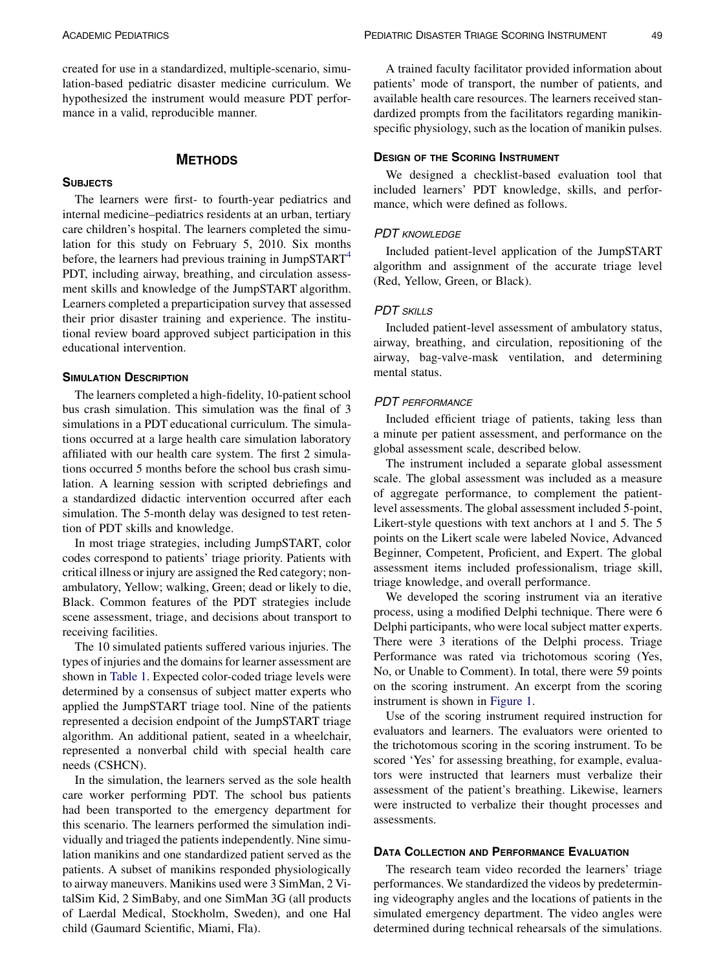created for use in a standardized, multiple-scenario, simulation-based pediatric disaster medicine curriculum. We hypothesized the instrument would measure PDT performance in a valid, reproducible manner.

# METHODS

The learners were first- to fourth-year pediatrics and internal medicine–pediatrics residents at an urban, tertiary care children's hospital. The learners completed the simulation for this study on February 5, 2010. Six months before, the learners had previous training in Jump $\text{START}^4$  $\text{START}^4$ PDT, including airway, breathing, and circulation assessment skills and knowledge of the JumpSTART algorithm. Learners completed a preparticipation survey that assessed their prior disaster training and experience. The institutional review board approved subject participation in this educational intervention.

### **SIMULATION DESCRIPTION**

The learners completed a high-fidelity, 10-patient school bus crash simulation. This simulation was the final of 3 simulations in a PDT educational curriculum. The simulations occurred at a large health care simulation laboratory affiliated with our health care system. The first 2 simulations occurred 5 months before the school bus crash simulation. A learning session with scripted debriefings and a standardized didactic intervention occurred after each simulation. The 5-month delay was designed to test retention of PDT skills and knowledge.

In most triage strategies, including JumpSTART, color codes correspond to patients' triage priority. Patients with critical illness or injury are assigned the Red category; nonambulatory, Yellow; walking, Green; dead or likely to die, Black. Common features of the PDT strategies include scene assessment, triage, and decisions about transport to receiving facilities.

The 10 simulated patients suffered various injuries. The types of injuries and the domains for learner assessment are shown in [Table 1](#page-2-0). Expected color-coded triage levels were determined by a consensus of subject matter experts who applied the JumpSTART triage tool. Nine of the patients represented a decision endpoint of the JumpSTART triage algorithm. An additional patient, seated in a wheelchair, represented a nonverbal child with special health care needs (CSHCN).

In the simulation, the learners served as the sole health care worker performing PDT. The school bus patients had been transported to the emergency department for this scenario. The learners performed the simulation individually and triaged the patients independently. Nine simulation manikins and one standardized patient served as the patients. A subset of manikins responded physiologically to airway maneuvers. Manikins used were 3 SimMan, 2 VitalSim Kid, 2 SimBaby, and one SimMan 3G (all products of Laerdal Medical, Stockholm, Sweden), and one Hal child (Gaumard Scientific, Miami, Fla).

A trained faculty facilitator provided information about patients' mode of transport, the number of patients, and available health care resources. The learners received standardized prompts from the facilitators regarding manikinspecific physiology, such as the location of manikin pulses.

We designed a checklist-based evaluation tool that included learners' PDT knowledge, skills, and performance, which were defined as follows.

## PDT KNOWLEDGE

Included patient-level application of the JumpSTART algorithm and assignment of the accurate triage level (Red, Yellow, Green, or Black).

### **PDT** SKILLS

Included patient-level assessment of ambulatory status, airway, breathing, and circulation, repositioning of the airway, bag-valve-mask ventilation, and determining mental status.

### PDT PERFORMANCE

Included efficient triage of patients, taking less than a minute per patient assessment, and performance on the global assessment scale, described below.

The instrument included a separate global assessment scale. The global assessment was included as a measure of aggregate performance, to complement the patientlevel assessments. The global assessment included 5-point, Likert-style questions with text anchors at 1 and 5. The 5 points on the Likert scale were labeled Novice, Advanced Beginner, Competent, Proficient, and Expert. The global assessment items included professionalism, triage skill, triage knowledge, and overall performance.

We developed the scoring instrument via an iterative process, using a modified Delphi technique. There were 6 Delphi participants, who were local subject matter experts. There were 3 iterations of the Delphi process. Triage Performance was rated via trichotomous scoring (Yes, No, or Unable to Comment). In total, there were 59 points on the scoring instrument. An excerpt from the scoring instrument is shown in [Figure 1.](#page-3-0)

Use of the scoring instrument required instruction for evaluators and learners. The evaluators were oriented to the trichotomous scoring in the scoring instrument. To be scored 'Yes' for assessing breathing, for example, evaluators were instructed that learners must verbalize their assessment of the patient's breathing. Likewise, learners were instructed to verbalize their thought processes and assessments.

### **DATA COLLECTION AND PERFORMANCE EVALUATION**

The research team video recorded the learners' triage performances. We standardized the videos by predetermining videography angles and the locations of patients in the simulated emergency department. The video angles were determined during technical rehearsals of the simulations.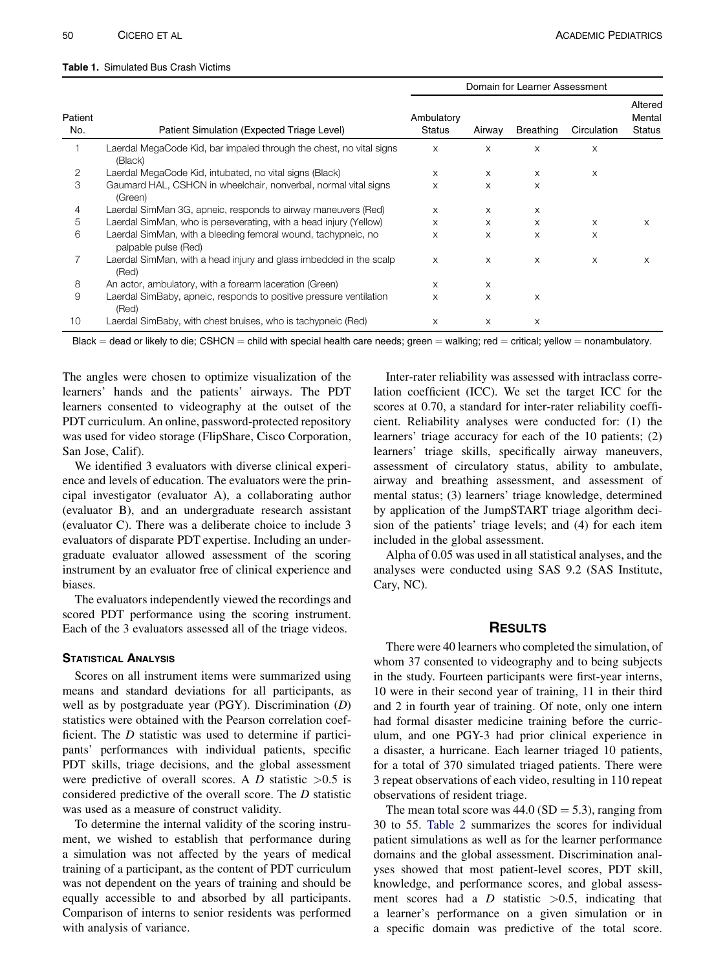### <span id="page-2-0"></span>Table 1. Simulated Bus Crash Victims

|                |                                                                                       | Domain for Learner Assessment |          |           |             |                                    |  |
|----------------|---------------------------------------------------------------------------------------|-------------------------------|----------|-----------|-------------|------------------------------------|--|
| Patient<br>No. | Patient Simulation (Expected Triage Level)                                            | Ambulatory<br>Status          | Airway   | Breathing | Circulation | Altered<br>Mental<br><b>Status</b> |  |
|                | Laerdal MegaCode Kid, bar impaled through the chest, no vital signs<br>(Black)        | X                             | X        | X         | X           |                                    |  |
| 2              | Laerdal MegaCode Kid, intubated, no vital signs (Black)                               | $\mathsf{X}$                  | $\times$ | Χ         | X           |                                    |  |
| 3              | Gaumard HAL, CSHCN in wheelchair, nonverbal, normal vital signs<br>(Green)            | X                             | X        | X         |             |                                    |  |
| 4              | Laerdal SimMan 3G, apneic, responds to airway maneuvers (Red)                         | X                             | $\times$ | X         |             |                                    |  |
| 5              | Laerdal SimMan, who is perseverating, with a head injury (Yellow)                     | X                             | $\times$ | X         | X           | X                                  |  |
| 6              | Laerdal SimMan, with a bleeding femoral wound, tachypneic, no<br>palpable pulse (Red) | X                             | X        | X         | X           |                                    |  |
|                | Laerdal SimMan, with a head injury and glass imbedded in the scalp<br>(Red)           | X                             | $\times$ | X         | X           | X                                  |  |
| 8              | An actor, ambulatory, with a forearm laceration (Green)                               | $\times$                      | $\times$ |           |             |                                    |  |
| 9              | Laerdal SimBaby, apneic, responds to positive pressure ventilation<br>(Red)           | X                             | $\times$ | X         |             |                                    |  |
| 10             | Laerdal SimBaby, with chest bruises, who is tachypneic (Red)                          | X                             | $\times$ | X         |             |                                    |  |

Black = dead or likely to die; CSHCN = child with special health care needs; green = walking; red = critical; yellow = nonambulatory.

The angles were chosen to optimize visualization of the learners' hands and the patients' airways. The PDT learners consented to videography at the outset of the PDT curriculum. An online, password-protected repository was used for video storage (FlipShare, Cisco Corporation, San Jose, Calif).

We identified 3 evaluators with diverse clinical experience and levels of education. The evaluators were the principal investigator (evaluator A), a collaborating author (evaluator B), and an undergraduate research assistant (evaluator C). There was a deliberate choice to include 3 evaluators of disparate PDT expertise. Including an undergraduate evaluator allowed assessment of the scoring instrument by an evaluator free of clinical experience and biases.

The evaluators independently viewed the recordings and scored PDT performance using the scoring instrument. Each of the 3 evaluators assessed all of the triage videos.

Scores on all instrument items were summarized using means and standard deviations for all participants, as well as by postgraduate year (PGY). Discrimination (D) statistics were obtained with the Pearson correlation coefficient. The D statistic was used to determine if participants' performances with individual patients, specific PDT skills, triage decisions, and the global assessment were predictive of overall scores. A D statistic  $>0.5$  is considered predictive of the overall score. The D statistic was used as a measure of construct validity.

To determine the internal validity of the scoring instrument, we wished to establish that performance during a simulation was not affected by the years of medical training of a participant, as the content of PDT curriculum was not dependent on the years of training and should be equally accessible to and absorbed by all participants. Comparison of interns to senior residents was performed with analysis of variance.

Inter-rater reliability was assessed with intraclass correlation coefficient (ICC). We set the target ICC for the scores at 0.70, a standard for inter-rater reliability coefficient. Reliability analyses were conducted for: (1) the learners' triage accuracy for each of the 10 patients; (2) learners' triage skills, specifically airway maneuvers, assessment of circulatory status, ability to ambulate, airway and breathing assessment, and assessment of mental status; (3) learners' triage knowledge, determined by application of the JumpSTART triage algorithm decision of the patients' triage levels; and (4) for each item included in the global assessment.

Alpha of 0.05 was used in all statistical analyses, and the analyses were conducted using SAS 9.2 (SAS Institute, Cary, NC).

There were 40 learners who completed the simulation, of whom 37 consented to videography and to being subjects in the study. Fourteen participants were first-year interns, 10 were in their second year of training, 11 in their third and 2 in fourth year of training. Of note, only one intern had formal disaster medicine training before the curriculum, and one PGY-3 had prior clinical experience in a disaster, a hurricane. Each learner triaged 10 patients, for a total of 370 simulated triaged patients. There were 3 repeat observations of each video, resulting in 110 repeat observations of resident triage.

The mean total score was  $44.0$  (SD = 5.3), ranging from 30 to 55. [Table 2](#page-4-0) summarizes the scores for individual patient simulations as well as for the learner performance domains and the global assessment. Discrimination analyses showed that most patient-level scores, PDT skill, knowledge, and performance scores, and global assessment scores had a D statistic  $>0.5$ , indicating that a learner's performance on a given simulation or in a specific domain was predictive of the total score.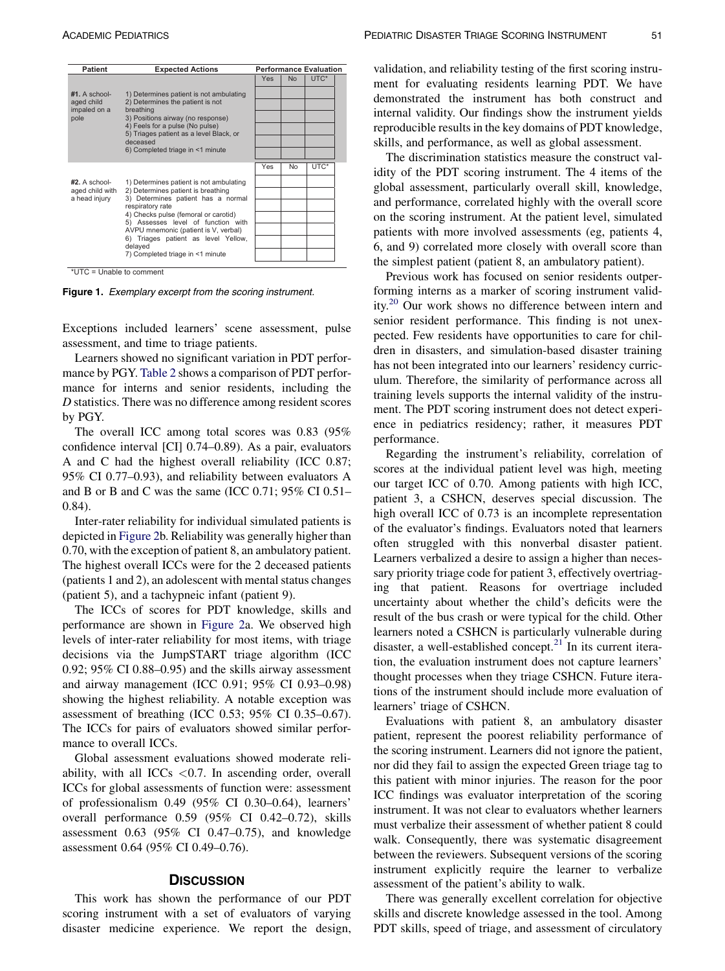<span id="page-3-0"></span>

| <b>Patient</b>                   | <b>Expected Actions</b>                                                                                                                                                                                                                                                                                                                             | <b>Performance Evaluation</b> |                |      |  |
|----------------------------------|-----------------------------------------------------------------------------------------------------------------------------------------------------------------------------------------------------------------------------------------------------------------------------------------------------------------------------------------------------|-------------------------------|----------------|------|--|
|                                  |                                                                                                                                                                                                                                                                                                                                                     | Yes                           | N <sub>o</sub> | UTC* |  |
| $#1.$ A school-                  | 1) Determines patient is not ambulating<br>2) Determines the patient is not<br>breathing<br>3) Positions airway (no response)<br>4) Feels for a pulse (No pulse)<br>5) Triages patient as a level Black, or<br>deceased                                                                                                                             |                               |                |      |  |
| aged child<br>impaled on a       |                                                                                                                                                                                                                                                                                                                                                     |                               |                |      |  |
| pole                             |                                                                                                                                                                                                                                                                                                                                                     |                               |                |      |  |
|                                  |                                                                                                                                                                                                                                                                                                                                                     |                               |                |      |  |
|                                  |                                                                                                                                                                                                                                                                                                                                                     |                               |                |      |  |
|                                  | 6) Completed triage in <1 minute                                                                                                                                                                                                                                                                                                                    |                               |                |      |  |
|                                  |                                                                                                                                                                                                                                                                                                                                                     | Yes                           | No             | UTC* |  |
| $#2. A school-$                  | 1) Determines patient is not ambulating<br>2) Determines patient is breathing<br>3) Determines patient has a normal<br>respiratory rate<br>4) Checks pulse (femoral or carotid)<br>5) Assesses level of function with<br>AVPU mnemonic (patient is V, verbal)<br>6) Triages patient as level Yellow,<br>delayed<br>7) Completed triage in <1 minute |                               |                |      |  |
| aged child with<br>a head injury |                                                                                                                                                                                                                                                                                                                                                     |                               |                |      |  |
|                                  |                                                                                                                                                                                                                                                                                                                                                     |                               |                |      |  |
|                                  |                                                                                                                                                                                                                                                                                                                                                     |                               |                |      |  |
|                                  |                                                                                                                                                                                                                                                                                                                                                     |                               |                |      |  |
|                                  |                                                                                                                                                                                                                                                                                                                                                     |                               |                |      |  |
|                                  |                                                                                                                                                                                                                                                                                                                                                     |                               |                |      |  |
|                                  |                                                                                                                                                                                                                                                                                                                                                     |                               |                |      |  |

\*UTC = Unable to comment

Figure 1. Exemplary excerpt from the scoring instrument.

Exceptions included learners' scene assessment, pulse assessment, and time to triage patients.

Learners showed no significant variation in PDT performance by PGY. [Table 2](#page-4-0) shows a comparison of PDT performance for interns and senior residents, including the D statistics. There was no difference among resident scores by PGY.

The overall ICC among total scores was 0.83 (95% confidence interval [CI] 0.74–0.89). As a pair, evaluators A and C had the highest overall reliability (ICC 0.87; 95% CI 0.77–0.93), and reliability between evaluators A and B or B and C was the same (ICC 0.71; 95% CI 0.51– 0.84).

Inter-rater reliability for individual simulated patients is depicted in [Figure 2b](#page-5-0). Reliability was generally higher than 0.70, with the exception of patient 8, an ambulatory patient. The highest overall ICCs were for the 2 deceased patients (patients 1 and 2), an adolescent with mental status changes (patient 5), and a tachypneic infant (patient 9).

The ICCs of scores for PDT knowledge, skills and performance are shown in [Figure 2a](#page-5-0). We observed high levels of inter-rater reliability for most items, with triage decisions via the JumpSTART triage algorithm (ICC 0.92; 95% CI 0.88–0.95) and the skills airway assessment and airway management (ICC 0.91; 95% CI 0.93–0.98) showing the highest reliability. A notable exception was assessment of breathing (ICC 0.53; 95% CI 0.35–0.67). The ICCs for pairs of evaluators showed similar performance to overall ICCs.

Global assessment evaluations showed moderate reliability, with all ICCs  $\langle 0.7.$  In ascending order, overall ICCs for global assessments of function were: assessment of professionalism 0.49 (95% CI 0.30–0.64), learners' overall performance 0.59 (95% CI 0.42–0.72), skills assessment 0.63 (95% CI 0.47–0.75), and knowledge assessment 0.64 (95% CI 0.49–0.76).

This work has shown the performance of our PDT scoring instrument with a set of evaluators of varying disaster medicine experience. We report the design,

validation, and reliability testing of the first scoring instrument for evaluating residents learning PDT. We have demonstrated the instrument has both construct and internal validity. Our findings show the instrument yields reproducible results in the key domains of PDT knowledge, skills, and performance, as well as global assessment.

The discrimination statistics measure the construct validity of the PDT scoring instrument. The 4 items of the global assessment, particularly overall skill, knowledge, and performance, correlated highly with the overall score on the scoring instrument. At the patient level, simulated patients with more involved assessments (eg, patients 4, 6, and 9) correlated more closely with overall score than the simplest patient (patient 8, an ambulatory patient).

Previous work has focused on senior residents outperforming interns as a marker of scoring instrument valid-ity.<sup>[20](#page-6-0)</sup> Our work shows no difference between intern and senior resident performance. This finding is not unexpected. Few residents have opportunities to care for children in disasters, and simulation-based disaster training has not been integrated into our learners' residency curriculum. Therefore, the similarity of performance across all training levels supports the internal validity of the instrument. The PDT scoring instrument does not detect experience in pediatrics residency; rather, it measures PDT performance.

Regarding the instrument's reliability, correlation of scores at the individual patient level was high, meeting our target ICC of 0.70. Among patients with high ICC, patient 3, a CSHCN, deserves special discussion. The high overall ICC of 0.73 is an incomplete representation of the evaluator's findings. Evaluators noted that learners often struggled with this nonverbal disaster patient. Learners verbalized a desire to assign a higher than necessary priority triage code for patient 3, effectively overtriaging that patient. Reasons for overtriage included uncertainty about whether the child's deficits were the result of the bus crash or were typical for the child. Other learners noted a CSHCN is particularly vulnerable during disaster, a well-established concept. $21$  In its current iteration, the evaluation instrument does not capture learners' thought processes when they triage CSHCN. Future iterations of the instrument should include more evaluation of learners' triage of CSHCN.

Evaluations with patient 8, an ambulatory disaster patient, represent the poorest reliability performance of the scoring instrument. Learners did not ignore the patient, nor did they fail to assign the expected Green triage tag to this patient with minor injuries. The reason for the poor ICC findings was evaluator interpretation of the scoring instrument. It was not clear to evaluators whether learners must verbalize their assessment of whether patient 8 could walk. Consequently, there was systematic disagreement between the reviewers. Subsequent versions of the scoring instrument explicitly require the learner to verbalize assessment of the patient's ability to walk.

There was generally excellent correlation for objective skills and discrete knowledge assessed in the tool. Among PDT skills, speed of triage, and assessment of circulatory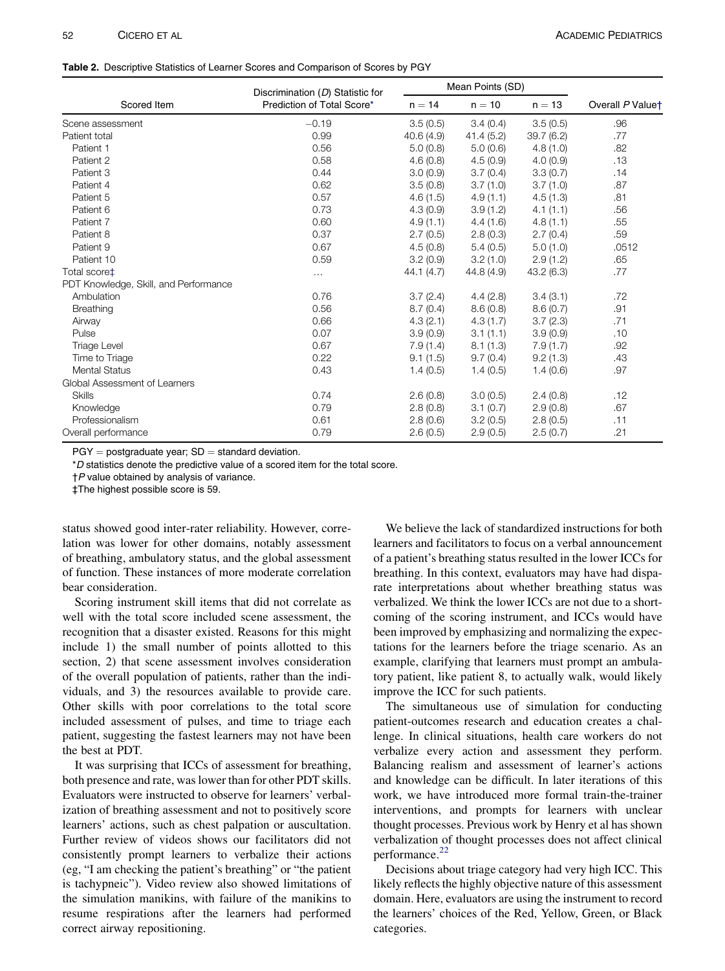<span id="page-4-0"></span>Table 2. Descriptive Statistics of Learner Scores and Comparison of Scores by PGY

|                                       | Discrimination (D) Statistic for<br>Prediction of Total Score* | Mean Points (SD)     |            |           |                  |  |
|---------------------------------------|----------------------------------------------------------------|----------------------|------------|-----------|------------------|--|
| Scored Item                           |                                                                | $n = 14$<br>$n = 10$ |            | $n = 13$  | Overall P Valuet |  |
| Scene assessment                      | $-0.19$                                                        | 3.5(0.5)             | 3.4(0.4)   | 3.5(0.5)  | .96              |  |
| Patient total                         | 0.99                                                           | 40.6(4.9)            | 41.4(5.2)  | 39.7(6.2) | .77              |  |
| Patient 1                             | 0.56                                                           | 5.0(0.8)             | 5.0(0.6)   | 4.8(1.0)  | .82              |  |
| Patient 2                             | 0.58                                                           | 4.6(0.8)             | 4.5(0.9)   | 4.0(0.9)  | .13              |  |
| Patient 3                             | 0.44                                                           | 3.0(0.9)             | 3.7(0.4)   | 3.3(0.7)  | .14              |  |
| Patient 4                             | 0.62                                                           | 3.5(0.8)             | 3.7(1.0)   | 3.7(1.0)  | .87              |  |
| Patient 5                             | 0.57                                                           | 4.6(1.5)             | 4.9(1.1)   | 4.5(1.3)  | .81              |  |
| Patient 6                             | 0.73                                                           | 4.3(0.9)             | 3.9(1.2)   | 4.1(1.1)  | .56              |  |
| Patient 7                             | 0.60                                                           | 4.9(1.1)             | 4.4(1.6)   | 4.8(1.1)  | .55              |  |
| Patient 8                             | 0.37                                                           | 2.7(0.5)             | 2.8(0.3)   | 2.7(0.4)  | .59              |  |
| Patient 9                             | 0.67                                                           | 4.5(0.8)             | 5.4(0.5)   | 5.0(1.0)  | .0512            |  |
| Patient 10                            | 0.59                                                           | 3.2(0.9)             | 3.2(1.0)   | 2.9(1.2)  | .65              |  |
| Total score‡                          | $\cdots$                                                       | 44.1 (4.7)           | 44.8 (4.9) | 43.2(6.3) | .77              |  |
| PDT Knowledge, Skill, and Performance |                                                                |                      |            |           |                  |  |
| Ambulation                            | 0.76                                                           | 3.7(2.4)             | 4.4(2.8)   | 3.4(3.1)  | .72              |  |
| Breathing                             | 0.56                                                           | 8.7(0.4)             | 8.6(0.8)   | 8.6(0.7)  | .91              |  |
| Airway                                | 0.66                                                           | 4.3(2.1)             | 4.3(1.7)   | 3.7(2.3)  | .71              |  |
| Pulse                                 | 0.07                                                           | 3.9(0.9)             | 3.1(1.1)   | 3.9(0.9)  | .10              |  |
| <b>Triage Level</b>                   | 0.67                                                           | 7.9(1.4)             | 8.1(1.3)   | 7.9(1.7)  | .92              |  |
| Time to Triage                        | 0.22                                                           | 9.1(1.5)             | 9.7(0.4)   | 9.2(1.3)  | .43              |  |
| <b>Mental Status</b>                  | 0.43                                                           | 1.4(0.5)             | 1.4(0.5)   | 1.4(0.6)  | .97              |  |
| Global Assessment of Learners         |                                                                |                      |            |           |                  |  |
| Skills                                | 0.74                                                           | 2.6(0.8)             | 3.0(0.5)   | 2.4(0.8)  | .12              |  |
| Knowledge                             | 0.79                                                           | 2.8(0.8)             | 3.1(0.7)   | 2.9(0.8)  | .67              |  |
| Professionalism                       | 0.61                                                           | 2.8(0.6)             | 3.2(0.5)   | 2.8(0.5)  | .11              |  |
| Overall performance                   | 0.79                                                           | 2.6(0.5)             | 2.9(0.5)   | 2.5(0.7)  | .21              |  |

 $PGY = postgraduate year$ ;  $SD = standard deviation$ .

\*D statistics denote the predictive value of a scored item for the total score.

†P value obtained by analysis of variance.

‡The highest possible score is 59.

status showed good inter-rater reliability. However, correlation was lower for other domains, notably assessment of breathing, ambulatory status, and the global assessment of function. These instances of more moderate correlation bear consideration.

Scoring instrument skill items that did not correlate as well with the total score included scene assessment, the recognition that a disaster existed. Reasons for this might include 1) the small number of points allotted to this section, 2) that scene assessment involves consideration of the overall population of patients, rather than the individuals, and 3) the resources available to provide care. Other skills with poor correlations to the total score included assessment of pulses, and time to triage each patient, suggesting the fastest learners may not have been the best at PDT.

It was surprising that ICCs of assessment for breathing, both presence and rate, was lower than for other PDT skills. Evaluators were instructed to observe for learners' verbalization of breathing assessment and not to positively score learners' actions, such as chest palpation or auscultation. Further review of videos shows our facilitators did not consistently prompt learners to verbalize their actions (eg, "I am checking the patient's breathing" or "the patient is tachypneic"). Video review also showed limitations of the simulation manikins, with failure of the manikins to resume respirations after the learners had performed correct airway repositioning.

We believe the lack of standardized instructions for both learners and facilitators to focus on a verbal announcement of a patient's breathing status resulted in the lower ICCs for breathing. In this context, evaluators may have had disparate interpretations about whether breathing status was verbalized. We think the lower ICCs are not due to a shortcoming of the scoring instrument, and ICCs would have been improved by emphasizing and normalizing the expectations for the learners before the triage scenario. As an example, clarifying that learners must prompt an ambulatory patient, like patient 8, to actually walk, would likely improve the ICC for such patients.

The simultaneous use of simulation for conducting patient-outcomes research and education creates a challenge. In clinical situations, health care workers do not verbalize every action and assessment they perform. Balancing realism and assessment of learner's actions and knowledge can be difficult. In later iterations of this work, we have introduced more formal train-the-trainer interventions, and prompts for learners with unclear thought processes. Previous work by Henry et al has shown verbalization of thought processes does not affect clinical performance.<sup>[22](#page-6-0)</sup>

Decisions about triage category had very high ICC. This likely reflects the highly objective nature of this assessment domain. Here, evaluators are using the instrument to record the learners' choices of the Red, Yellow, Green, or Black categories.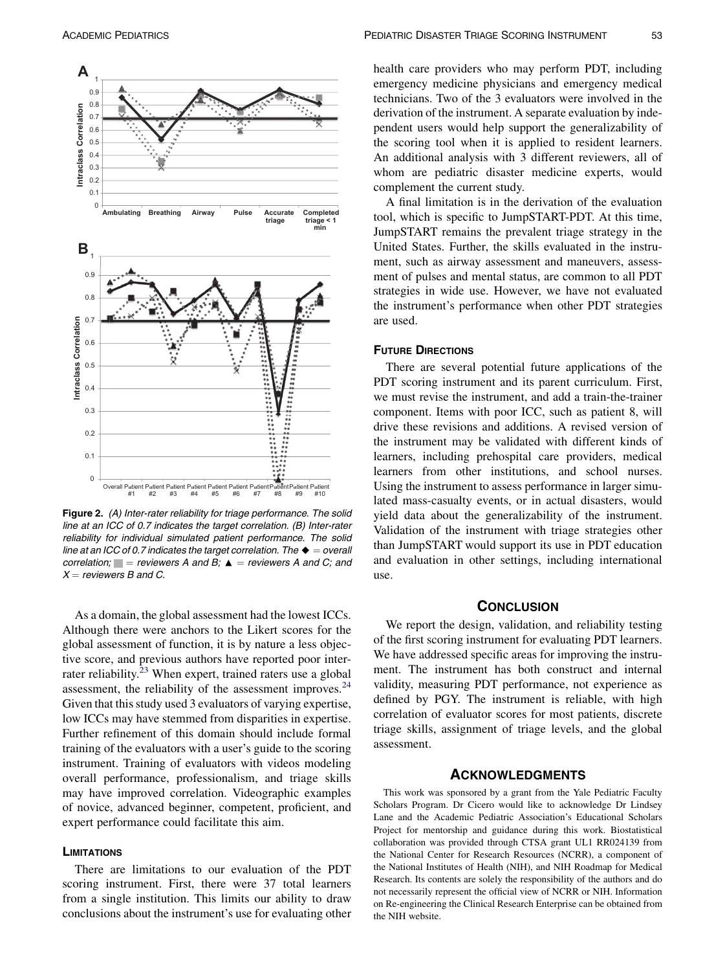<span id="page-5-0"></span>

Figure 2. (A) Inter-rater reliability for triage performance. The solid line at an ICC of 0.7 indicates the target correlation. (B) Inter-rater reliability for individual simulated patient performance. The solid line at an ICC of 0.7 indicates the target correlation. The  $\blacklozenge =$  overall correlation;  $\blacksquare$  = reviewers A and B;  $\blacktriangle$  = reviewers A and C; and  $X =$  reviewers B and C.

As a domain, the global assessment had the lowest ICCs. Although there were anchors to the Likert scores for the global assessment of function, it is by nature a less objective score, and previous authors have reported poor interrater reliability. $^{23}$  $^{23}$  $^{23}$  When expert, trained raters use a global assessment, the reliability of the assessment improves.<sup>[24](#page-6-0)</sup> Given that this study used 3 evaluators of varying expertise, low ICCs may have stemmed from disparities in expertise. Further refinement of this domain should include formal training of the evaluators with a user's guide to the scoring instrument. Training of evaluators with videos modeling overall performance, professionalism, and triage skills may have improved correlation. Videographic examples of novice, advanced beginner, competent, proficient, and expert performance could facilitate this aim.

### **LIMITATIONS**

There are limitations to our evaluation of the PDT scoring instrument. First, there were 37 total learners from a single institution. This limits our ability to draw conclusions about the instrument's use for evaluating other health care providers who may perform PDT, including emergency medicine physicians and emergency medical technicians. Two of the 3 evaluators were involved in the derivation of the instrument. A separate evaluation by independent users would help support the generalizability of the scoring tool when it is applied to resident learners. An additional analysis with 3 different reviewers, all of whom are pediatric disaster medicine experts, would complement the current study.

A final limitation is in the derivation of the evaluation tool, which is specific to JumpSTART-PDT. At this time, JumpSTART remains the prevalent triage strategy in the United States. Further, the skills evaluated in the instrument, such as airway assessment and maneuvers, assessment of pulses and mental status, are common to all PDT strategies in wide use. However, we have not evaluated the instrument's performance when other PDT strategies are used.

There are several potential future applications of the PDT scoring instrument and its parent curriculum. First, we must revise the instrument, and add a train-the-trainer component. Items with poor ICC, such as patient 8, will drive these revisions and additions. A revised version of the instrument may be validated with different kinds of learners, including prehospital care providers, medical learners from other institutions, and school nurses. Using the instrument to assess performance in larger simulated mass-casualty events, or in actual disasters, would yield data about the generalizability of the instrument. Validation of the instrument with triage strategies other than JumpSTART would support its use in PDT education and evaluation in other settings, including international use.

### **CONCLUSION**

We report the design, validation, and reliability testing of the first scoring instrument for evaluating PDT learners. We have addressed specific areas for improving the instrument. The instrument has both construct and internal validity, measuring PDT performance, not experience as defined by PGY. The instrument is reliable, with high correlation of evaluator scores for most patients, discrete triage skills, assignment of triage levels, and the global assessment.

This work was sponsored by a grant from the Yale Pediatric Faculty Scholars Program. Dr Cicero would like to acknowledge Dr Lindsey Lane and the Academic Pediatric Association's Educational Scholars Project for mentorship and guidance during this work. Biostatistical collaboration was provided through CTSA grant UL1 RR024139 from the National Center for Research Resources (NCRR), a component of the National Institutes of Health (NIH), and NIH Roadmap for Medical Research. Its contents are solely the responsibility of the authors and do not necessarily represent the official view of NCRR or NIH. Information on Re-engineering the Clinical Research Enterprise can be obtained from the NIH website.